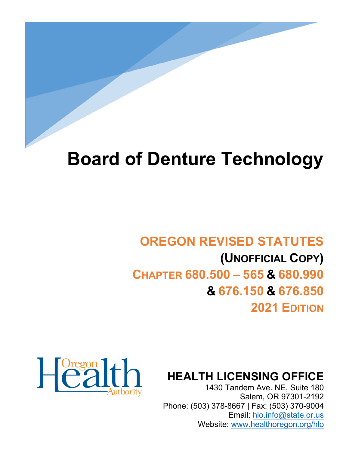# **Board of Denture Technology**

# **OREGON REVISED STATUTES (UNOFFICIAL COPY) CHAPTER 680.500 – 565 & 680.990 & 676.150 & 676.850 2021 EDITION**



**HEALTH LICENSING OFFICE**

1430 Tandem Ave. NE, Suite 180 Salem, OR 97301-2192 Phone: (503) 378-8667 | Fax: (503) 370-9004 Email: [hlo.info@state.or.us](mailto:hlo.info@stae.or.us) Website: [www.healthoregon.org/hlo](http://www.healthoregon.org/hlo)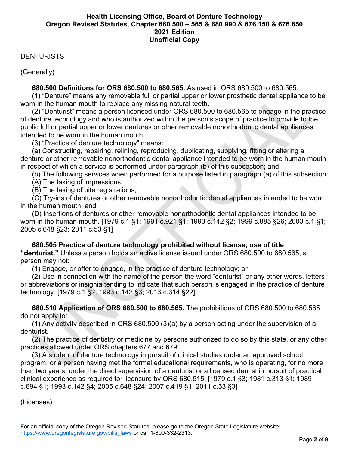## **DENTURISTS**

(Generally)

# **680.500 Definitions for ORS 680.500 to 680.565.** As used in ORS 680.500 to 680.565:

 (1) "Denture" means any removable full or partial upper or lower prosthetic dental appliance to be worn in the human mouth to replace any missing natural teeth.

 (2) "Denturist" means a person licensed under ORS 680.500 to 680.565 to engage in the practice of denture technology and who is authorized within the person's scope of practice to provide to the public full or partial upper or lower dentures or other removable nonorthodontic dental appliances intended to be worn in the human mouth.

(3) "Practice of denture technology" means:

 (a) Constructing, repairing, relining, reproducing, duplicating, supplying, fitting or altering a denture or other removable nonorthodontic dental appliance intended to be worn in the human mouth in respect of which a service is performed under paragraph (b) of this subsection; and

(b) The following services when performed for a purpose listed in paragraph (a) of this subsection:

(A) The taking of impressions;

(B) The taking of bite registrations;

 (C) Try-ins of dentures or other removable nonorthodontic dental appliances intended to be worn in the human mouth; and

 (D) Insertions of dentures or other removable nonorthodontic dental appliances intended to be worn in the human mouth. [1979 c.1 §1; 1991 c.921 §1; 1993 c.142 §2; 1999 c.885 §26; 2003 c.1 §1; 2005 c.648 §23; 2011 c.53 §1]

# **680.505 Practice of denture technology prohibited without license; use of title "denturist."** Unless a person holds an active license issued under ORS 680.500 to 680.565, a person may not:

(1) Engage, or offer to engage, in the practice of denture technology; or

 (2) Use in connection with the name of the person the word "denturist" or any other words, letters or abbreviations or insignia tending to indicate that such person is engaged in the practice of denture technology. [1979 c.1 §2; 1993 c.142 §3; 2013 c.314 §22]

 **680.510 Application of ORS 680.500 to 680.565.** The prohibitions of ORS 680.500 to 680.565 do not apply to:

 (1) Any activity described in ORS 680.500 (3)(a) by a person acting under the supervision of a denturist.

 (2) The practice of dentistry or medicine by persons authorized to do so by this state, or any other practices allowed under ORS chapters 677 and 679.

 (3) A student of denture technology in pursuit of clinical studies under an approved school program, or a person having met the formal educational requirements, who is operating, for no more than two years, under the direct supervision of a denturist or a licensed dentist in pursuit of practical clinical experience as required for licensure by ORS 680.515. [1979 c.1 §3; 1981 c.313 §1; 1989 c.694 §1; 1993 c.142 §4; 2005 c.648 §24; 2007 c.419 §1; 2011 c.53 §3]

(Licenses)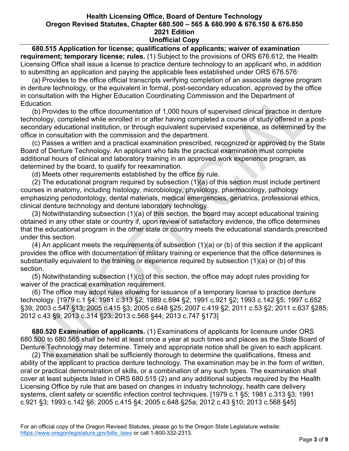**680.515 Application for license; qualifications of applicants; waiver of examination requirement; temporary license; rules.** (1) Subject to the provisions of ORS 676.612, the Health Licensing Office shall issue a license to practice denture technology to an applicant who, in addition to submitting an application and paying the applicable fees established under ORS 676.576:

 (a) Provides to the office official transcripts verifying completion of an associate degree program in denture technology, or the equivalent in formal, post-secondary education, approved by the office in consultation with the Higher Education Coordinating Commission and the Department of Education.

 (b) Provides to the office documentation of 1,000 hours of supervised clinical practice in denture technology, completed while enrolled in or after having completed a course of study offered in a postsecondary educational institution, or through equivalent supervised experience, as determined by the office in consultation with the commission and the department.

 (c) Passes a written and a practical examination prescribed, recognized or approved by the State Board of Denture Technology. An applicant who fails the practical examination must complete additional hours of clinical and laboratory training in an approved work experience program, as determined by the board, to qualify for reexamination.

(d) Meets other requirements established by the office by rule.

 (2) The educational program required by subsection (1)(a) of this section must include pertinent courses in anatomy, including histology, microbiology, physiology, pharmacology, pathology emphasizing periodontology, dental materials, medical emergencies, geriatrics, professional ethics, clinical denture technology and denture laboratory technology.

 (3) Notwithstanding subsection (1)(a) of this section, the board may accept educational training obtained in any other state or country if, upon review of satisfactory evidence, the office determines that the educational program in the other state or country meets the educational standards prescribed under this section.

 (4) An applicant meets the requirements of subsection (1)(a) or (b) of this section if the applicant provides the office with documentation of military training or experience that the office determines is substantially equivalent to the training or experience required by subsection (1)(a) or (b) of this section.

 (5) Notwithstanding subsection (1)(c) of this section, the office may adopt rules providing for waiver of the practical examination requirement.

 (6) The office may adopt rules allowing for issuance of a temporary license to practice denture technology. [1979 c.1 §4; 1981 c.313 §2; 1989 c.694 §2; 1991 c.921 §2; 1993 c.142 §5; 1997 c.652 §39; 2003 c.547 §13; 2005 c.415 §3; 2005 c.648 §25; 2007 c.419 §2; 2011 c.53 §2; 2011 c.637 §285; 2012 c.43 §9; 2013 c.314 §23; 2013 c.568 §44; 2013 c.747 §173]

 **680.520 Examination of applicants.** (1) Examinations of applicants for licensure under ORS 680.500 to 680.565 shall be held at least once a year at such times and places as the State Board of Denture Technology may determine. Timely and appropriate notice shall be given to each applicant.

 (2) The examination shall be sufficiently thorough to determine the qualifications, fitness and ability of the applicant to practice denture technology. The examination may be in the form of written, oral or practical demonstration of skills, or a combination of any such types. The examination shall cover at least subjects listed in ORS 680.515 (2) and any additional subjects required by the Health Licensing Office by rule that are based on changes in industry technology, health care delivery systems, client safety or scientific infection control techniques. [1979 c.1 §5; 1981 c.313 §3; 1991 c.921 §3; 1993 c.142 §6; 2005 c.415 §4; 2005 c.648 §25a; 2012 c.43 §10; 2013 c.568 §45]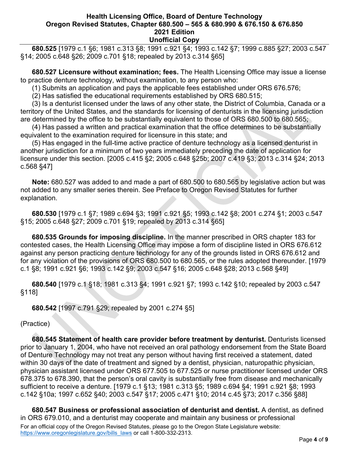**680.525** [1979 c.1 §6; 1981 c.313 §8; 1991 c.921 §4; 1993 c.142 §7; 1999 c.885 §27; 2003 c.547 §14; 2005 c.648 §26; 2009 c.701 §18; repealed by 2013 c.314 §65]

 **680.527 Licensure without examination; fees.** The Health Licensing Office may issue a license to practice denture technology, without examination, to any person who:

(1) Submits an application and pays the applicable fees established under ORS 676.576;

(2) Has satisfied the educational requirements established by ORS 680.515;

 (3) Is a denturist licensed under the laws of any other state, the District of Columbia, Canada or a territory of the United States, and the standards for licensing of denturists in the licensing jurisdiction are determined by the office to be substantially equivalent to those of ORS 680.500 to 680.565;

 (4) Has passed a written and practical examination that the office determines to be substantially equivalent to the examination required for licensure in this state; and

 (5) Has engaged in the full-time active practice of denture technology as a licensed denturist in another jurisdiction for a minimum of two years immediately preceding the date of application for licensure under this section. [2005 c.415 §2; 2005 c.648 §25b; 2007 c.419 §3; 2013 c.314 §24; 2013 c.568 §47]

 **Note:** 680.527 was added to and made a part of 680.500 to 680.565 by legislative action but was not added to any smaller series therein. See Preface to Oregon Revised Statutes for further explanation.

 **680.530** [1979 c.1 §7; 1989 c.694 §3; 1991 c.921 §5; 1993 c.142 §8; 2001 c.274 §1; 2003 c.547 §15; 2005 c.648 §27; 2009 c.701 §19; repealed by 2013 c.314 §65]

 **680.535 Grounds for imposing discipline.** In the manner prescribed in ORS chapter 183 for contested cases, the Health Licensing Office may impose a form of discipline listed in ORS 676.612 against any person practicing denture technology for any of the grounds listed in ORS 676.612 and for any violation of the provisions of ORS 680.500 to 680.565, or the rules adopted thereunder. [1979 c.1 §8; 1991 c.921 §6; 1993 c.142 §9; 2003 c.547 §16; 2005 c.648 §28; 2013 c.568 §49]

 **680.540** [1979 c.1 §18; 1981 c.313 §4; 1991 c.921 §7; 1993 c.142 §10; repealed by 2003 c.547 §118]

 **680.542** [1997 c.791 §29; repealed by 2001 c.274 §5]

(Practice)

 **680.545 Statement of health care provider before treatment by denturist.** Denturists licensed prior to January 1, 2004, who have not received an oral pathology endorsement from the State Board of Denture Technology may not treat any person without having first received a statement, dated within 30 days of the date of treatment and signed by a dentist, physician, naturopathic physician, physician assistant licensed under ORS 677.505 to 677.525 or nurse practitioner licensed under ORS 678.375 to 678.390, that the person's oral cavity is substantially free from disease and mechanically sufficient to receive a denture. [1979 c.1 §13; 1981 c.313 §5; 1989 c.694 §4; 1991 c.921 §8; 1993 c.142 §10a; 1997 c.652 §40; 2003 c.547 §17; 2005 c.471 §10; 2014 c.45 §73; 2017 c.356 §88]

For an official copy of the Oregon Revised Statutes, please go to the Oregon State Legislature website: [https://www.oregonlegislature.gov/bills\\_laws](https://www.oregonlegislature.gov/bills_laws) or call 1-800-332-2313.  **680.547 Business or professional association of denturist and dentist.** A dentist, as defined in ORS 679.010, and a denturist may cooperate and maintain any business or professional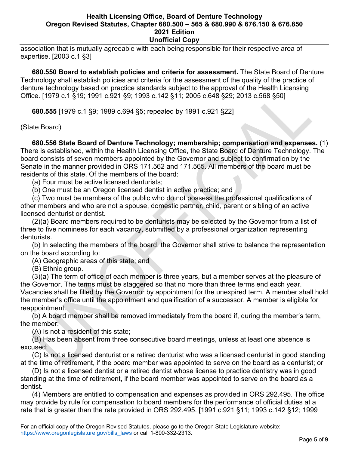association that is mutually agreeable with each being responsible for their respective area of expertise. [2003 c.1 §3]

 **680.550 Board to establish policies and criteria for assessment.** The State Board of Denture Technology shall establish policies and criteria for the assessment of the quality of the practice of denture technology based on practice standards subject to the approval of the Health Licensing Office. [1979 c.1 §19; 1991 c.921 §9; 1993 c.142 §11; 2005 c.648 §29; 2013 c.568 §50]

 **680.555** [1979 c.1 §9; 1989 c.694 §5; repealed by 1991 c.921 §22]

(State Board)

 **680.556 State Board of Denture Technology; membership; compensation and expenses.** (1) There is established, within the Health Licensing Office, the State Board of Denture Technology. The board consists of seven members appointed by the Governor and subject to confirmation by the Senate in the manner provided in ORS 171.562 and 171.565. All members of the board must be residents of this state. Of the members of the board:

(a) Four must be active licensed denturists;

(b) One must be an Oregon licensed dentist in active practice; and

 (c) Two must be members of the public who do not possess the professional qualifications of other members and who are not a spouse, domestic partner, child, parent or sibling of an active licensed denturist or dentist.

 (2)(a) Board members required to be denturists may be selected by the Governor from a list of three to five nominees for each vacancy, submitted by a professional organization representing denturists.

 (b) In selecting the members of the board, the Governor shall strive to balance the representation on the board according to:

(A) Geographic areas of this state; and

(B) Ethnic group.

 (3)(a) The term of office of each member is three years, but a member serves at the pleasure of the Governor. The terms must be staggered so that no more than three terms end each year. Vacancies shall be filled by the Governor by appointment for the unexpired term. A member shall hold the member's office until the appointment and qualification of a successor. A member is eligible for reappointment.

 (b) A board member shall be removed immediately from the board if, during the member's term, the member:

(A) Is not a resident of this state;

 (B) Has been absent from three consecutive board meetings, unless at least one absence is excused;

 (C) Is not a licensed denturist or a retired denturist who was a licensed denturist in good standing at the time of retirement, if the board member was appointed to serve on the board as a denturist; or

 (D) Is not a licensed dentist or a retired dentist whose license to practice dentistry was in good standing at the time of retirement, if the board member was appointed to serve on the board as a dentist.

 (4) Members are entitled to compensation and expenses as provided in ORS 292.495. The office may provide by rule for compensation to board members for the performance of official duties at a rate that is greater than the rate provided in ORS 292.495. [1991 c.921 §11; 1993 c.142 §12; 1999

For an official copy of the Oregon Revised Statutes, please go to the Oregon State Legislature website: [https://www.oregonlegislature.gov/bills\\_laws](https://www.oregonlegislature.gov/bills_laws) or call 1-800-332-2313.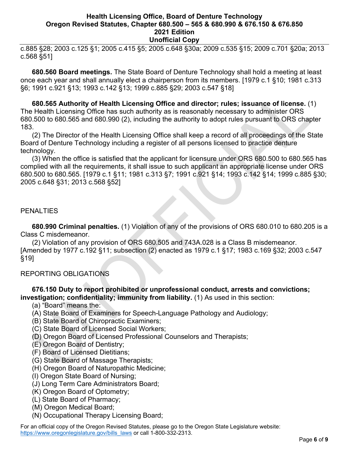c.885 §28; 2003 c.125 §1; 2005 c.415 §5; 2005 c.648 §30a; 2009 c.535 §15; 2009 c.701 §20a; 2013 c.568 §51]

 **680.560 Board meetings.** The State Board of Denture Technology shall hold a meeting at least once each year and shall annually elect a chairperson from its members. [1979 c.1 §10; 1981 c.313 §6; 1991 c.921 §13; 1993 c.142 §13; 1999 c.885 §29; 2003 c.547 §18]

 **680.565 Authority of Health Licensing Office and director; rules; issuance of license.** (1) The Health Licensing Office has such authority as is reasonably necessary to administer ORS 680.500 to 680.565 and 680.990 (2), including the authority to adopt rules pursuant to ORS chapter 183.

 (2) The Director of the Health Licensing Office shall keep a record of all proceedings of the State Board of Denture Technology including a register of all persons licensed to practice denture technology.

 (3) When the office is satisfied that the applicant for licensure under ORS 680.500 to 680.565 has complied with all the requirements, it shall issue to such applicant an appropriate license under ORS 680.500 to 680.565. [1979 c.1 §11; 1981 c.313 §7; 1991 c.921 §14; 1993 c.142 §14; 1999 c.885 §30; 2005 c.648 §31; 2013 c.568 §52]

#### PENALTIES

 **680.990 Criminal penalties.** (1) Violation of any of the provisions of ORS 680.010 to 680.205 is a Class C misdemeanor.

 (2) Violation of any provision of ORS 680.505 and 743A.028 is a Class B misdemeanor. [Amended by 1977 c.192 §11; subsection (2) enacted as 1979 c.1 §17; 1983 c.169 §32; 2003 c.547 §19]

# REPORTING OBLIGATIONS

#### **676.150 Duty to report prohibited or unprofessional conduct, arrests and convictions; investigation; confidentiality; immunity from liability.** (1) As used in this section:

- (a) "Board" means the:
- (A) State Board of Examiners for Speech-Language Pathology and Audiology;
- (B) State Board of Chiropractic Examiners;
- (C) State Board of Licensed Social Workers;
- (D) Oregon Board of Licensed Professional Counselors and Therapists;
- (E) Oregon Board of Dentistry;
- (F) Board of Licensed Dietitians;
- (G) State Board of Massage Therapists;
- (H) Oregon Board of Naturopathic Medicine;
- (I) Oregon State Board of Nursing;
- (J) Long Term Care Administrators Board;
- (K) Oregon Board of Optometry;
- (L) State Board of Pharmacy;
- (M) Oregon Medical Board;
- (N) Occupational Therapy Licensing Board;

For an official copy of the Oregon Revised Statutes, please go to the Oregon State Legislature website: [https://www.oregonlegislature.gov/bills\\_laws](https://www.oregonlegislature.gov/bills_laws) or call 1-800-332-2313.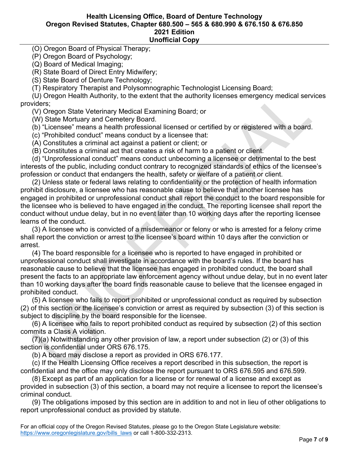(O) Oregon Board of Physical Therapy;

(P) Oregon Board of Psychology;

(Q) Board of Medical Imaging;

(R) State Board of Direct Entry Midwifery;

(S) State Board of Denture Technology;

(T) Respiratory Therapist and Polysomnographic Technologist Licensing Board;

 (U) Oregon Health Authority, to the extent that the authority licenses emergency medical services providers;

(V) Oregon State Veterinary Medical Examining Board; or

(W) State Mortuary and Cemetery Board.

(b) "Licensee" means a health professional licensed or certified by or registered with a board.

(c) "Prohibited conduct" means conduct by a licensee that:

(A) Constitutes a criminal act against a patient or client; or

(B) Constitutes a criminal act that creates a risk of harm to a patient or client.

 (d) "Unprofessional conduct" means conduct unbecoming a licensee or detrimental to the best interests of the public, including conduct contrary to recognized standards of ethics of the licensee's profession or conduct that endangers the health, safety or welfare of a patient or client.

 (2) Unless state or federal laws relating to confidentiality or the protection of health information prohibit disclosure, a licensee who has reasonable cause to believe that another licensee has engaged in prohibited or unprofessional conduct shall report the conduct to the board responsible for the licensee who is believed to have engaged in the conduct. The reporting licensee shall report the conduct without undue delay, but in no event later than 10 working days after the reporting licensee learns of the conduct.

 (3) A licensee who is convicted of a misdemeanor or felony or who is arrested for a felony crime shall report the conviction or arrest to the licensee's board within 10 days after the conviction or arrest.

 (4) The board responsible for a licensee who is reported to have engaged in prohibited or unprofessional conduct shall investigate in accordance with the board's rules. If the board has reasonable cause to believe that the licensee has engaged in prohibited conduct, the board shall present the facts to an appropriate law enforcement agency without undue delay, but in no event later than 10 working days after the board finds reasonable cause to believe that the licensee engaged in prohibited conduct.

 (5) A licensee who fails to report prohibited or unprofessional conduct as required by subsection (2) of this section or the licensee's conviction or arrest as required by subsection (3) of this section is subject to discipline by the board responsible for the licensee.

 (6) A licensee who fails to report prohibited conduct as required by subsection (2) of this section commits a Class A violation.

 (7)(a) Notwithstanding any other provision of law, a report under subsection (2) or (3) of this section is confidential under ORS 676.175.

(b) A board may disclose a report as provided in ORS 676.177.

 (c) If the Health Licensing Office receives a report described in this subsection, the report is confidential and the office may only disclose the report pursuant to ORS 676.595 and 676.599.

 (8) Except as part of an application for a license or for renewal of a license and except as provided in subsection (3) of this section, a board may not require a licensee to report the licensee's criminal conduct.

 (9) The obligations imposed by this section are in addition to and not in lieu of other obligations to report unprofessional conduct as provided by statute.

For an official copy of the Oregon Revised Statutes, please go to the Oregon State Legislature website: [https://www.oregonlegislature.gov/bills\\_laws](https://www.oregonlegislature.gov/bills_laws) or call 1-800-332-2313.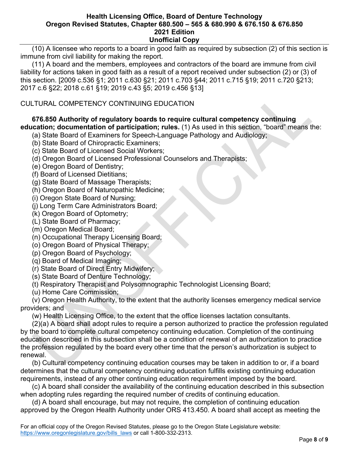(10) A licensee who reports to a board in good faith as required by subsection (2) of this section is immune from civil liability for making the report.

 (11) A board and the members, employees and contractors of the board are immune from civil liability for actions taken in good faith as a result of a report received under subsection (2) or (3) of this section. [2009 c.536 §1; 2011 c.630 §21; 2011 c.703 §44; 2011 c.715 §19; 2011 c.720 §213; 2017 c.6 §22; 2018 c.61 §19; 2019 c.43 §5; 2019 c.456 §13]

# CULTURAL COMPETENCY CONTINUING EDUCATION

#### **676.850 Authority of regulatory boards to require cultural competency continuing education; documentation of participation; rules.** (1) As used in this section, "board" means the:

- (a) State Board of Examiners for Speech-Language Pathology and Audiology;
- (b) State Board of Chiropractic Examiners;
- (c) State Board of Licensed Social Workers;
- (d) Oregon Board of Licensed Professional Counselors and Therapists;
- (e) Oregon Board of Dentistry;
- (f) Board of Licensed Dietitians;
- (g) State Board of Massage Therapists;
- (h) Oregon Board of Naturopathic Medicine;
- (i) Oregon State Board of Nursing;
- (j) Long Term Care Administrators Board;
- (k) Oregon Board of Optometry;
- (L) State Board of Pharmacy;
- (m) Oregon Medical Board;
- (n) Occupational Therapy Licensing Board;
- (o) Oregon Board of Physical Therapy;
- (p) Oregon Board of Psychology;
- (q) Board of Medical Imaging;
- (r) State Board of Direct Entry Midwifery;
- (s) State Board of Denture Technology;
- (t) Respiratory Therapist and Polysomnographic Technologist Licensing Board;
- (u) Home Care Commission;

 (v) Oregon Health Authority, to the extent that the authority licenses emergency medical service providers; and

(w) Health Licensing Office, to the extent that the office licenses lactation consultants.

 (2)(a) A board shall adopt rules to require a person authorized to practice the profession regulated by the board to complete cultural competency continuing education. Completion of the continuing education described in this subsection shall be a condition of renewal of an authorization to practice the profession regulated by the board every other time that the person's authorization is subject to renewal.

 (b) Cultural competency continuing education courses may be taken in addition to or, if a board determines that the cultural competency continuing education fulfills existing continuing education requirements, instead of any other continuing education requirement imposed by the board.

 (c) A board shall consider the availability of the continuing education described in this subsection when adopting rules regarding the required number of credits of continuing education.

 (d) A board shall encourage, but may not require, the completion of continuing education approved by the Oregon Health Authority under ORS 413.450. A board shall accept as meeting the